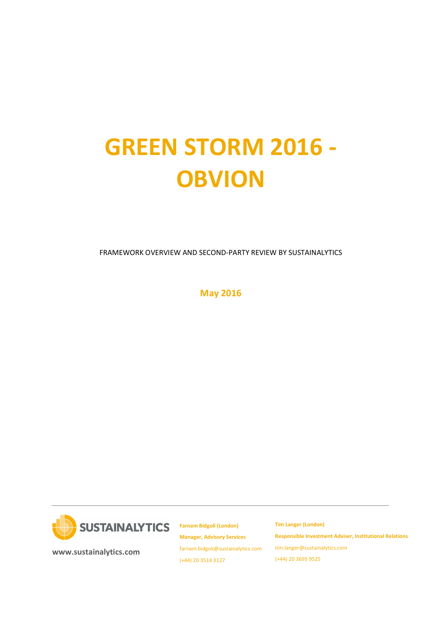# GREEN STORM 2016 - **OBVION**

FRAMEWORK OVERVIEW AND SECOND-PARTY REVIEW BY SUSTAINALYTICS

May 2016



Farnam Bidgoli (London) Manager, Advisory Services farnam.bidgoli@sustainalytics.com (+44) 20 3514 3127

Tim Langer (London) Responsible Investment Adviser, Institutional Relations tim.langer@sustainalytics.com (+44) 20 3695 9525

www.sustainalytics.com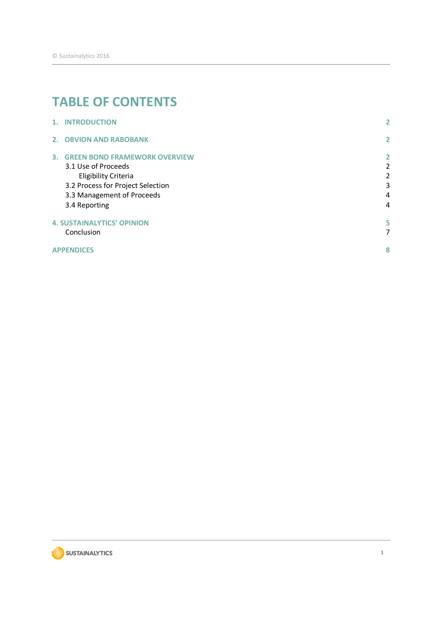# TABLE OF CONTENTS

| 1. INTRODUCTION                         | 2              |
|-----------------------------------------|----------------|
| 2. OBVION AND RABOBANK                  | $\mathbf{2}$   |
| <b>3. GREEN BOND FRAMEWORK OVERVIEW</b> | $\mathbf{2}$   |
| 3.1 Use of Proceeds                     | $\overline{2}$ |
| <b>Eligibility Criteria</b>             | 2              |
| 3.2 Process for Project Selection       | 3              |
| 3.3 Management of Proceeds              | 4              |
| 3.4 Reporting                           | 4              |
| <b>4. SUSTAINALYTICS' OPINION</b>       | 5.             |
| Conclusion                              | $\overline{7}$ |
| <b>APPENDICES</b>                       | 8              |

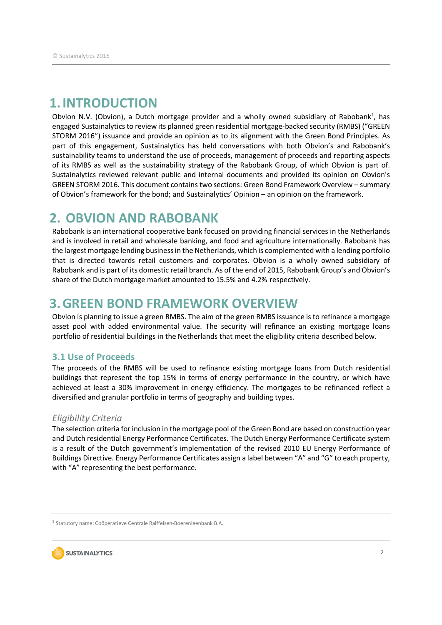### 1.INTRODUCTION

Obvion N.V. (Obvion), a Dutch mortgage provider and a wholly owned subsidiary of Rabobank<sup>1</sup>, has engaged Sustainalytics to review its planned green residential mortgage-backed security (RMBS) ("GREEN STORM 2016") issuance and provide an opinion as to its alignment with the Green Bond Principles. As part of this engagement, Sustainalytics has held conversations with both Obvion's and Rabobank's sustainability teams to understand the use of proceeds, management of proceeds and reporting aspects of its RMBS as well as the sustainability strategy of the Rabobank Group, of which Obvion is part of. Sustainalytics reviewed relevant public and internal documents and provided its opinion on Obvion's GREEN STORM 2016. This document contains two sections: Green Bond Framework Overview – summary of Obvion's framework for the bond; and Sustainalytics' Opinion – an opinion on the framework.

## 2. OBVION AND RABOBANK

Rabobank is an international cooperative bank focused on providing financial services in the Netherlands and is involved in retail and wholesale banking, and food and agriculture internationally. Rabobank has the largest mortgage lending business in the Netherlands, which is complemented with a lending portfolio that is directed towards retail customers and corporates. Obvion is a wholly owned subsidiary of Rabobank and is part of its domestic retail branch. As of the end of 2015, Rabobank Group's and Obvion's share of the Dutch mortgage market amounted to 15.5% and 4.2% respectively.

### 3.GREEN BOND FRAMEWORK OVERVIEW

Obvion is planning to issue a green RMBS. The aim of the green RMBS issuance is to refinance a mortgage asset pool with added environmental value. The security will refinance an existing mortgage loans portfolio of residential buildings in the Netherlands that meet the eligibility criteria described below.

### 3.1 Use of Proceeds

The proceeds of the RMBS will be used to refinance existing mortgage loans from Dutch residential buildings that represent the top 15% in terms of energy performance in the country, or which have achieved at least a 30% improvement in energy efficiency. The mortgages to be refinanced reflect a diversified and granular portfolio in terms of geography and building types.

### Eligibility Criteria

The selection criteria for inclusion in the mortgage pool of the Green Bond are based on construction year and Dutch residential Energy Performance Certificates. The Dutch Energy Performance Certificate system is a result of the Dutch government's implementation of the revised 2010 EU Energy Performance of Buildings Directive. Energy Performance Certificates assign a label between "A" and "G" to each property, with "A" representing the best performance.

<sup>&</sup>lt;sup>1</sup> Statutory name: Coöperatieve Centrale Raiffeisen-Boerenleenbank B.A.

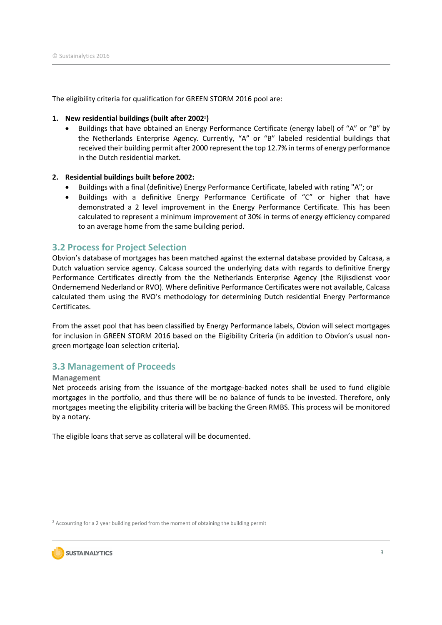The eligibility criteria for qualification for GREEN STORM 2016 pool are:

### 1. New residential buildings (built after 20022)

 Buildings that have obtained an Energy Performance Certificate (energy label) of "A" or "B" by the Netherlands Enterprise Agency. Currently, "A" or "B" labeled residential buildings that received their building permit after 2000 represent the top 12.7% in terms of energy performance in the Dutch residential market.

### 2. Residential buildings built before 2002:

- Buildings with a final (definitive) Energy Performance Certificate, labeled with rating "A"; or
- Buildings with a definitive Energy Performance Certificate of "C" or higher that have demonstrated a 2 level improvement in the Energy Performance Certificate. This has been calculated to represent a minimum improvement of 30% in terms of energy efficiency compared to an average home from the same building period.

### 3.2 Process for Project Selection

Obvion's database of mortgages has been matched against the external database provided by Calcasa, a Dutch valuation service agency. Calcasa sourced the underlying data with regards to definitive Energy Performance Certificates directly from the the Netherlands Enterprise Agency (the Rijksdienst voor Ondernemend Nederland or RVO). Where definitive Performance Certificates were not available, Calcasa calculated them using the RVO's methodology for determining Dutch residential Energy Performance Certificates.

From the asset pool that has been classified by Energy Performance labels, Obvion will select mortgages for inclusion in GREEN STORM 2016 based on the Eligibility Criteria (in addition to Obvion's usual nongreen mortgage loan selection criteria).

### 3.3 Management of Proceeds

### Management

Net proceeds arising from the issuance of the mortgage-backed notes shall be used to fund eligible mortgages in the portfolio, and thus there will be no balance of funds to be invested. Therefore, only mortgages meeting the eligibility criteria will be backing the Green RMBS. This process will be monitored by a notary.

The eligible loans that serve as collateral will be documented.

<sup>2</sup> Accounting for a 2 year building period from the moment of obtaining the building permit

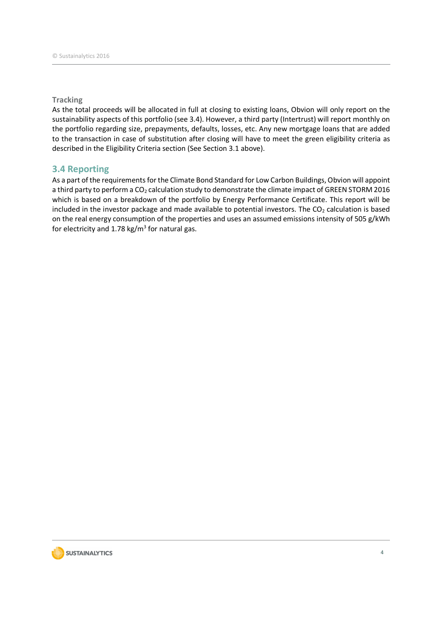### **Tracking**

As the total proceeds will be allocated in full at closing to existing loans, Obvion will only report on the sustainability aspects of this portfolio (see 3.4). However, a third party (Intertrust) will report monthly on the portfolio regarding size, prepayments, defaults, losses, etc. Any new mortgage loans that are added to the transaction in case of substitution after closing will have to meet the green eligibility criteria as described in the Eligibility Criteria section (See Section 3.1 above).

### 3.4 Reporting

As a part of the requirements for the Climate Bond Standard for Low Carbon Buildings, Obvion will appoint a third party to perform a CO<sub>2</sub> calculation study to demonstrate the climate impact of GREEN STORM 2016 which is based on a breakdown of the portfolio by Energy Performance Certificate. This report will be included in the investor package and made available to potential investors. The  $CO<sub>2</sub>$  calculation is based on the real energy consumption of the properties and uses an assumed emissions intensity of 505 g/kWh for electricity and  $1.78 \text{ kg/m}^3$  for natural gas.

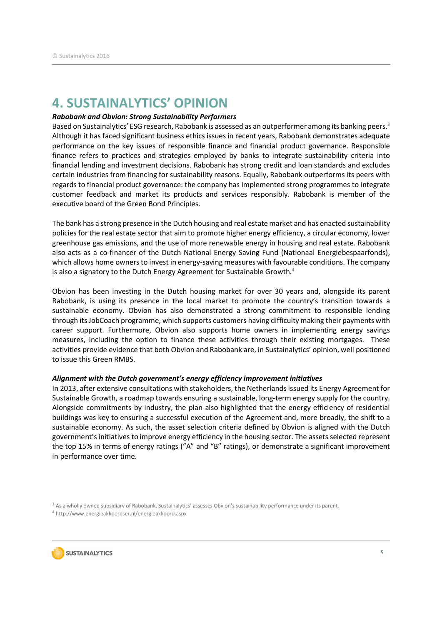### 4. SUSTAINALYTICS' OPINION

### Rabobank and Obvion: Strong Sustainability Performers

Based on Sustainalytics' ESG research, Rabobank is assessed as an outperformer among its banking peers.<sup>3</sup> Although it has faced significant business ethics issues in recent years, Rabobank demonstrates adequate performance on the key issues of responsible finance and financial product governance. Responsible finance refers to practices and strategies employed by banks to integrate sustainability criteria into financial lending and investment decisions. Rabobank has strong credit and loan standards and excludes certain industries from financing for sustainability reasons. Equally, Rabobank outperforms its peers with regards to financial product governance: the company has implemented strong programmes to integrate customer feedback and market its products and services responsibly. Rabobank is member of the executive board of the Green Bond Principles.

The bank has a strong presence in the Dutch housing and real estate market and has enacted sustainability policies for the real estate sector that aim to promote higher energy efficiency, a circular economy, lower greenhouse gas emissions, and the use of more renewable energy in housing and real estate. Rabobank also acts as a co-financer of the Dutch National Energy Saving Fund (Nationaal Energiebespaarfonds), which allows home owners to invest in energy-saving measures with favourable conditions. The company is also a signatory to the Dutch Energy Agreement for Sustainable Growth.<sup>4</sup>

Obvion has been investing in the Dutch housing market for over 30 years and, alongside its parent Rabobank, is using its presence in the local market to promote the country's transition towards a sustainable economy. Obvion has also demonstrated a strong commitment to responsible lending through its JobCoach programme, which supports customers having difficulty making their payments with career support. Furthermore, Obvion also supports home owners in implementing energy savings measures, including the option to finance these activities through their existing mortgages. These activities provide evidence that both Obvion and Rabobank are, in Sustainalytics' opinion, well positioned to issue this Green RMBS.

### Alignment with the Dutch government's energy efficiency improvement initiatives

In 2013, after extensive consultations with stakeholders, the Netherlands issued its Energy Agreement for Sustainable Growth, a roadmap towards ensuring a sustainable, long-term energy supply for the country. Alongside commitments by industry, the plan also highlighted that the energy efficiency of residential buildings was key to ensuring a successful execution of the Agreement and, more broadly, the shift to a sustainable economy. As such, the asset selection criteria defined by Obvion is aligned with the Dutch government's initiatives to improve energy efficiency in the housing sector. The assets selected represent the top 15% in terms of energy ratings ("A" and "B" ratings), or demonstrate a significant improvement in performance over time.

<sup>3</sup> As a wholly owned subsidiary of Rabobank, Sustainalytics' assesses Obvion's sustainability performance under its parent. 4 http://www.energieakkoordser.nl/energieakkoord.aspx

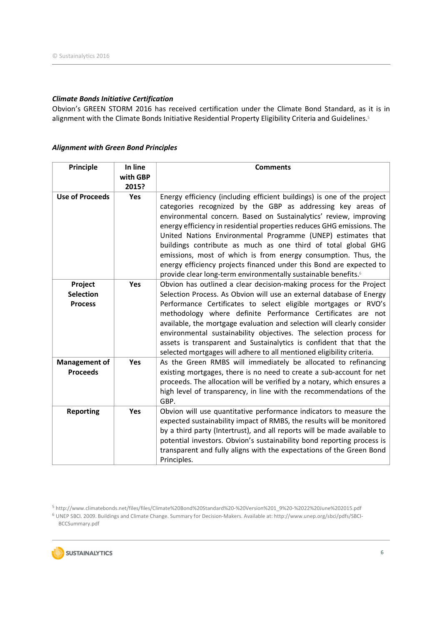### Climate Bonds Initiative Certification

Obvion's GREEN STORM 2016 has received certification under the Climate Bond Standard, as it is in alignment with the Climate Bonds Initiative Residential Property Eligibility Criteria and Guidelines.<sup>5</sup>

| <b>Principle</b>                              | In line<br>with GBP<br>2015? | <b>Comments</b>                                                                                                                                                                                                                                                                                                                                                                                                                                                                                                                                                                                                                               |
|-----------------------------------------------|------------------------------|-----------------------------------------------------------------------------------------------------------------------------------------------------------------------------------------------------------------------------------------------------------------------------------------------------------------------------------------------------------------------------------------------------------------------------------------------------------------------------------------------------------------------------------------------------------------------------------------------------------------------------------------------|
| <b>Use of Proceeds</b>                        | <b>Yes</b>                   | Energy efficiency (including efficient buildings) is one of the project<br>categories recognized by the GBP as addressing key areas of<br>environmental concern. Based on Sustainalytics' review, improving<br>energy efficiency in residential properties reduces GHG emissions. The<br>United Nations Environmental Programme (UNEP) estimates that<br>buildings contribute as much as one third of total global GHG<br>emissions, most of which is from energy consumption. Thus, the<br>energy efficiency projects financed under this Bond are expected to<br>provide clear long-term environmentally sustainable benefits. <sup>6</sup> |
| Project<br><b>Selection</b><br><b>Process</b> | Yes                          | Obvion has outlined a clear decision-making process for the Project<br>Selection Process. As Obvion will use an external database of Energy<br>Performance Certificates to select eligible mortgages or RVO's<br>methodology where definite Performance Certificates are not<br>available, the mortgage evaluation and selection will clearly consider<br>environmental sustainability objectives. The selection process for<br>assets is transparent and Sustainalytics is confident that that the<br>selected mortgages will adhere to all mentioned eligibility criteria.                                                                  |
| <b>Management of</b><br><b>Proceeds</b>       | Yes                          | As the Green RMBS will immediately be allocated to refinancing<br>existing mortgages, there is no need to create a sub-account for net<br>proceeds. The allocation will be verified by a notary, which ensures a<br>high level of transparency, in line with the recommendations of the<br>GBP.                                                                                                                                                                                                                                                                                                                                               |
| <b>Reporting</b>                              | Yes                          | Obvion will use quantitative performance indicators to measure the<br>expected sustainability impact of RMBS, the results will be monitored<br>by a third party (Intertrust), and all reports will be made available to<br>potential investors. Obvion's sustainability bond reporting process is<br>transparent and fully aligns with the expectations of the Green Bond<br>Principles.                                                                                                                                                                                                                                                      |

### Alignment with Green Bond Principles

5 http://www.climatebonds.net/files/files/Climate%20Bond%20Standard%20-%20Version%201\_9%20-%2022%20June%202015.pdf

6 UNEP SBCI. 2009. Buildings and Climate Change. Summary for Decision-Makers. Available at: http://www.unep.org/sbci/pdfs/SBCI-BCCSummary.pdf

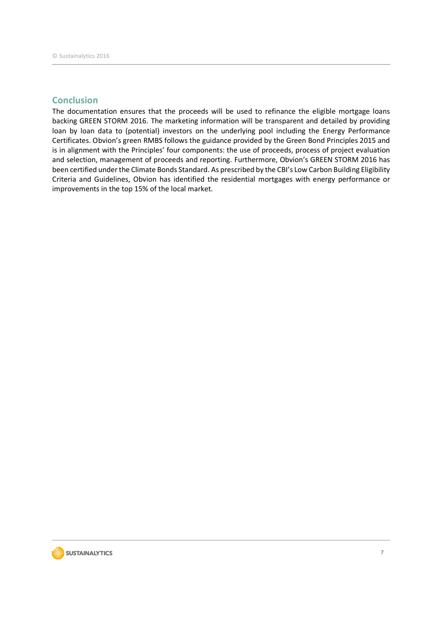### **Conclusion**

The documentation ensures that the proceeds will be used to refinance the eligible mortgage loans backing GREEN STORM 2016. The marketing information will be transparent and detailed by providing loan by loan data to (potential) investors on the underlying pool including the Energy Performance Certificates. Obvion's green RMBS follows the guidance provided by the Green Bond Principles 2015 and is in alignment with the Principles' four components: the use of proceeds, process of project evaluation and selection, management of proceeds and reporting. Furthermore, Obvion's GREEN STORM 2016 has been certified under the Climate Bonds Standard. As prescribed by the CBI's Low Carbon Building Eligibility Criteria and Guidelines, Obvion has identified the residential mortgages with energy performance or improvements in the top 15% of the local market.

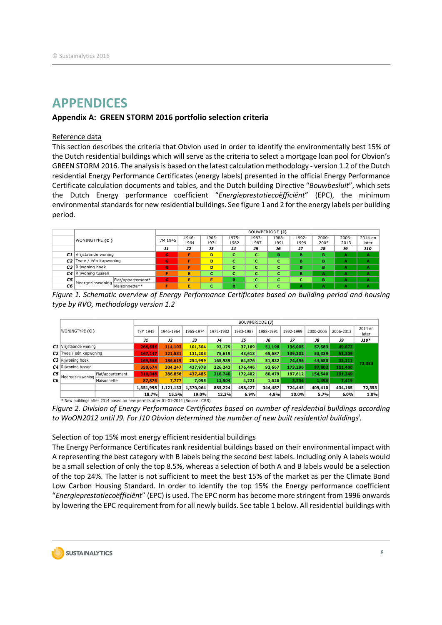### APPENDICES

### Appendix A: GREEN STORM 2016 portfolio selection criteria

### Reference data

This section describes the criteria that Obvion used in order to identify the environmentally best 15% of the Dutch residential buildings which will serve as the criteria to select a mortgage loan pool for Obvion's GREEN STORM 2016. The analysis is based on the latest calculation methodology - version 1.2 of the Dutch residential Energy Performance Certificates (energy labels) presented in the official Energy Performance Certificate calculation documents and tables, and the Dutch building Directive "Bouwbesluit", which sets the Dutch Energy performance coefficient "Energieprestatiecoëfficiënt" (EPC), the minimum environmental standards for new residential buildings. See figure 1 and 2 for the energy labels per building period. **Stainalytics 2016**<br> **Stainalytics 2016**<br> **Encore data**<br> **Excellent** Conservation of the conservation of the server and the conservation of the conservation of the conservation of the conservation of the conservation of t **PENDICES**<br>
entity at GREEN STORM 2016 portfolio selection criteria<br>
series detailed the criteria that Obvion used in order to identify the environmentally best 15% of<br>
butch residential buildings which will serie as the **PENDICES**<br>
exercise data<br>
exercise the criteria that Obvion used in order to identify the environmentally best 15% of<br>
section describes the criteria that Obvion used in order to identify the environmentally best 15% of<br> **PENDICES**<br> **EXERCISE TORM 2016 portfolio selection criteria**<br> **EXERCISE TORM 2016 portfolio selection criteria**<br> **EXERCISE TORM 2016.** The criteria that Obvion used in order to identify the environmentally best 15% of<br>
D **PENDICES**<br>
endix A: GREEN STORM 2016 portfolio selection criteria<br>
section describes the criteria that Obvion used in order to identify the environmentally best 15% of<br>
Dutch residential buildings which will serve as the **PENDICES**<br> **EREN STORM 2016 portfolio selection criteria**<br>
<u>rence data</u><br>
section describes the criteria that Obvion used in order to identify the environmentally best 15% of<br>
butch residential buildings which will serve criteria that Obvion used in order to identify the environmentally best 15% of<br>
ings which will serve as the criteria to select a mortgage loan pool for Obvion's<br>
nalysis is based on the latest calculation methodology - v This section describes the criteria that Obvion used in order to identify the environmentally best 15% of<br>
GREEN STORM 2016. The analysis is based on the latest calculation methodology -version 1.2 of the Dutch<br>
GREEN STO

|    |                           |                   |                          |               |               |               |               | BOUWPERIODE (J) |               |                  |                  |                  |
|----|---------------------------|-------------------|--------------------------|---------------|---------------|---------------|---------------|-----------------|---------------|------------------|------------------|------------------|
|    | WONINGTYPE (C)            |                   | T/M 1945                 | 1946-<br>1964 | 1965-<br>1974 | 1975-<br>1982 | 1983-<br>1987 | 1988-<br>1991   | 1992-<br>1999 | $2000 -$<br>2005 | $2006 -$<br>2013 | 2014 en<br>later |
|    |                           |                   | J1                       | J2            | <b>J3</b>     | <b>J4</b>     | J5            | J6              | J7            | <b>J8</b>        | <b>J9</b>        | <b>J10</b>       |
|    | C1 Vrijstaande woning     |                   | G                        | Е             | D             |               |               | <b>B</b>        | в             | в                |                  | A                |
|    | $C2$ Twee / één kapwoning |                   | G                        |               | D             |               |               |                 | в             | B                |                  |                  |
|    | $C3$ Rijwoning hoek       |                   | ſα,                      | Е             | D             | . .           |               |                 | в             | в                |                  |                  |
|    | $C4$ Rijwoning tussen     |                   | $\overline{\phantom{a}}$ | Е             | -             |               |               |                 | в             |                  |                  |                  |
| C5 | Heergezinswoning          | Flat/appartement* | G                        | Е             | Ė             | m.<br>. .     |               |                 |               | m                |                  |                  |
| C6 |                           | Maisonnette**     |                          |               | с             | в             |               |                 |               |                  |                  |                  |

Figure 1. Schematic overview of Energy Performance Certificates based on building period and housing type by RVO, methodology version 1.2

Figure 2. Division of Energy Performance Certificates based on number of residential buildings according to WoON2012 until J9. For J10 Obvion determined the number of new built residential buildings<sup>i</sup>.

### Selection of top 15% most energy efficient residential buildings

The Energy Performance Certificates rank residential buildings based on their environmental impact with A representing the best category with B labels being the second best labels. Including only A labels would be a small selection of only the top 8.5%, whereas a selection of both A and B labels would be a selection of the top 24%. The latter is not sufficient to meet the best 15% of the market as per the Climate Bond Low Carbon Housing Standard. In order to identify the top 15% the Energy performance coefficient "Energieprestatiecoëfficiënt" (EPC) is used. The EPC norm has become more stringent from 1996 onwards by lowering the EPC requirement from for all newly builds. See table 1 below. All residential buildings with

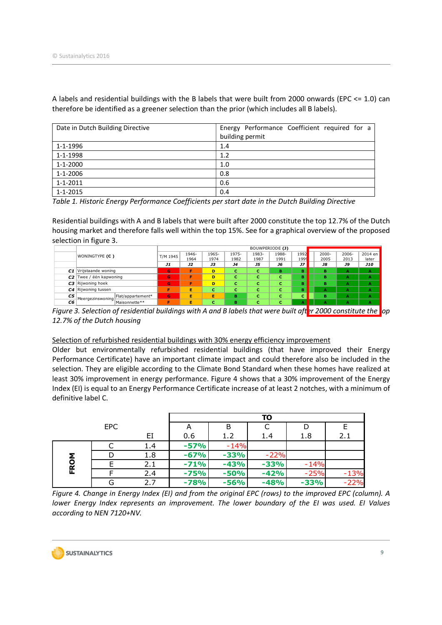|                | Date in Dutch Building Directive                                                                                                                                                                                                                 |                           |               |               |                 |                 |               |              |                  | Energy Performance Coefficient required for a |                  |
|----------------|--------------------------------------------------------------------------------------------------------------------------------------------------------------------------------------------------------------------------------------------------|---------------------------|---------------|---------------|-----------------|-----------------|---------------|--------------|------------------|-----------------------------------------------|------------------|
|                |                                                                                                                                                                                                                                                  |                           |               |               | building permit |                 |               |              |                  |                                               |                  |
| 1-1-1996       |                                                                                                                                                                                                                                                  |                           |               |               | 1.4             |                 |               |              |                  |                                               |                  |
| 1-1-1998       |                                                                                                                                                                                                                                                  |                           |               | 1.2           |                 |                 |               |              |                  |                                               |                  |
| $1 - 1 - 2000$ |                                                                                                                                                                                                                                                  |                           |               | 1.0           |                 |                 |               |              |                  |                                               |                  |
| 1-1-2006       |                                                                                                                                                                                                                                                  |                           |               | 0.8           |                 |                 |               |              |                  |                                               |                  |
|                |                                                                                                                                                                                                                                                  |                           |               |               |                 |                 |               |              |                  |                                               |                  |
| $1 - 1 - 2011$ |                                                                                                                                                                                                                                                  |                           |               | 0.6           |                 |                 |               |              |                  |                                               |                  |
| $1 - 1 - 2015$ | Table 1. Historic Energy Performance Coefficients per start date in the Dutch Building Directive                                                                                                                                                 |                           |               | 0.4           |                 |                 |               |              |                  |                                               |                  |
|                | Residential buildings with A and B labels that were built after 2000 constitute the top 12.7% of the Dutch<br>housing market and therefore falls well within the top 15%. See for a graphical overview of the proposed<br>selection in figure 3. |                           |               |               |                 |                 |               |              |                  |                                               |                  |
|                |                                                                                                                                                                                                                                                  |                           |               |               |                 | BOUWPERIODE (J) |               |              |                  |                                               |                  |
|                | WONINGTYPE (C)                                                                                                                                                                                                                                   | T/M 1945                  | 1946-<br>1964 | 1965-<br>1974 | 1975-<br>1982   | 1983-<br>1987   | 1988-<br>1991 | 1992<br>1999 | $2000 -$<br>2005 | 2006-<br>2013                                 | 2014 en<br>later |
|                |                                                                                                                                                                                                                                                  | <b>J1</b><br>$\mathbf{G}$ | J2<br>F       | <b>J3</b>     | <b>J4</b>       | <b>J5</b>       | J6            | JZ           | <b>J8</b><br>в   | <b>J9</b>                                     | J10              |
|                | C1 Vrijstaande woning<br>C2 Twee / één kapwoning                                                                                                                                                                                                 | G                         | F.            | D<br>D.       | c<br>c.         | c<br>c.         | в<br>c.       | <b>B</b>     | R                | A                                             | $\mathbf{A}$     |
|                | C3 Rijwoning hoek                                                                                                                                                                                                                                | $\mathbf{G}$              | F             | D             | c               | c               | c             | в            | B                |                                               |                  |
| C5             | C4 Rijwoning tussen<br>Flat/appartement*                                                                                                                                                                                                         | <b>G</b>                  | F<br>E.       | C.<br>F       | C.<br>B.        | c<br>c.         | c<br>c        |              |                  |                                               |                  |

|    |                                         |          |       |       |           |           | BOUWPERIODE (J) |      |          |          |            |
|----|-----------------------------------------|----------|-------|-------|-----------|-----------|-----------------|------|----------|----------|------------|
|    | <b>WONINGTYPE (C)</b>                   | T/M 1945 | 1946- | 1965- | 1975-     | 1983-     | 1988-           | 1992 | $2000 -$ | $2006 -$ | $2014$ en  |
|    |                                         |          | 1964  | 1974  | 1982      | 1987      | 1991            | 1999 | 2005     | 2013     | later      |
|    |                                         | J1       | J2    | JЗ    | <b>J4</b> | <b>J5</b> | J6              | J7   | J8       | J9       | <b>J10</b> |
|    | C1 Vrijstaande woning                   | G        |       | D.    |           |           | в.              |      |          |          |            |
|    | $C2$ Twee / één kapwoning               | ъ.       |       | D.    |           |           |                 |      | . .      |          |            |
|    | $C3$ Rijwoning hoek                     | G        |       | D.    |           |           |                 |      | . .      |          |            |
|    | C4 Rijwoning tussen                     |          |       |       |           |           |                 |      |          |          |            |
| C5 | Flat/appartement*<br>- Meergezinswoning | G        |       | Е     | в.        |           |                 |      |          |          |            |
| C6 | Maisonnette**                           |          |       |       | в         |           |                 |      |          |          |            |

Figure 3. Selection of residential buildings with A and B labels that were built aft<mark>er 2000 constitute the t</mark>op 12.7% of the Dutch housing

### Selection of refurbished residential buildings with 30% energy efficiency improvement

|      |                                                                                                                                                                                                                                                                                                                                                                                                                                                                                                                                                         |              |                |               |                  | BOUWPERIODE (J)                                                                       |               |                  |                                |                  |
|------|---------------------------------------------------------------------------------------------------------------------------------------------------------------------------------------------------------------------------------------------------------------------------------------------------------------------------------------------------------------------------------------------------------------------------------------------------------------------------------------------------------------------------------------------------------|--------------|----------------|---------------|------------------|---------------------------------------------------------------------------------------|---------------|------------------|--------------------------------|------------------|
|      | WONINGTYPE (C)                                                                                                                                                                                                                                                                                                                                                                                                                                                                                                                                          | T/M 1945     | 1946-<br>1964  | 1965-<br>1974 | 1975-<br>1982    | 1983-<br>1987                                                                         | 1988-<br>1991 | 1992<br>1999     | 2006-<br>2000-<br>2005<br>2013 | 2014 en<br>later |
|      |                                                                                                                                                                                                                                                                                                                                                                                                                                                                                                                                                         | J1           | <b>J2</b>      | <b>J3</b>     | <b>J4</b>        | <b>J5</b>                                                                             | J6            | JZ               | <b>J8</b><br><b>J9</b>         | <b>J10</b>       |
|      | C1 Vrijstaande woning                                                                                                                                                                                                                                                                                                                                                                                                                                                                                                                                   | $\mathbf{G}$ | F.             | D.            | c.               | c.                                                                                    | <b>B</b>      | в.               | B<br>A                         | A                |
|      | $C2$ Twee / één kapwoning                                                                                                                                                                                                                                                                                                                                                                                                                                                                                                                               | <b>G</b>     | F              | D.            | c.               | c.                                                                                    | c.            |                  | R                              |                  |
|      | C3 Rijwoning hoek                                                                                                                                                                                                                                                                                                                                                                                                                                                                                                                                       | $\mathbf{G}$ | F.             | D.            | c.               | c.                                                                                    | $\mathbf{C}$  | в.               | в<br>$\mathbf{A}$              | $\mathbf{A}$     |
|      | C4 Rijwoning tussen                                                                                                                                                                                                                                                                                                                                                                                                                                                                                                                                     | F            | Е.             | $\mathbf{C}$  | c.               | c.                                                                                    | c.            |                  |                                |                  |
| C5   | Flat/appartement*<br>Meergezinswoning                                                                                                                                                                                                                                                                                                                                                                                                                                                                                                                   | $\mathbf{G}$ | F.             | E.            | R.               | c.                                                                                    | $\mathbf{C}$  |                  |                                |                  |
| C6   | Maisonnette**<br>Figure 3. Selection of residential buildings with A and B labels that were built after 2000 constitute the <b>l</b> op                                                                                                                                                                                                                                                                                                                                                                                                                 |              | F              | $\mathbf{C}$  | в.               | c.                                                                                    | c.            |                  |                                |                  |
|      |                                                                                                                                                                                                                                                                                                                                                                                                                                                                                                                                                         |              |                |               |                  | Selection of refurbished residential buildings with 30% energy efficiency improvement |               |                  |                                |                  |
|      | Older but environmentally refurbished residential buildings (that have improved their Energy<br>Performance Certificate) have an important climate impact and could therefore also be included in the<br>selection. They are eligible according to the Climate Bond Standard when these homes have realized at<br>least 30% improvement in energy performance. Figure 4 shows that a 30% improvement of the Energy<br>Index (EI) is equal to an Energy Performance Certificate increase of at least 2 notches, with a minimum of<br>definitive label C. |              |                |               |                  |                                                                                       |               |                  |                                |                  |
|      |                                                                                                                                                                                                                                                                                                                                                                                                                                                                                                                                                         |              |                |               |                  |                                                                                       |               |                  |                                |                  |
|      |                                                                                                                                                                                                                                                                                                                                                                                                                                                                                                                                                         |              |                |               |                  | <b>TO</b>                                                                             |               |                  |                                |                  |
|      | <b>EPC</b>                                                                                                                                                                                                                                                                                                                                                                                                                                                                                                                                              | ΕI           | A<br>0.6       |               | B<br>1.2         | C<br>1.4                                                                              |               | D<br>1.8         | E<br>2.1                       |                  |
|      |                                                                                                                                                                                                                                                                                                                                                                                                                                                                                                                                                         |              |                |               |                  |                                                                                       |               |                  |                                |                  |
|      | C                                                                                                                                                                                                                                                                                                                                                                                                                                                                                                                                                       | 1.4          | -57%           |               | $-14%$           |                                                                                       |               |                  |                                |                  |
|      | D                                                                                                                                                                                                                                                                                                                                                                                                                                                                                                                                                       | 1.8          | -67%           |               | $-33%$           | $-22%$                                                                                |               |                  |                                |                  |
|      | E                                                                                                                                                                                                                                                                                                                                                                                                                                                                                                                                                       | 2.1          | -71%           |               | $-43%$           | $-33%$                                                                                |               | $-14%$           |                                |                  |
| FROM | E<br>G                                                                                                                                                                                                                                                                                                                                                                                                                                                                                                                                                  | 2.4<br>2.7   | -75%<br>$-78%$ |               | $-50%$<br>$-56%$ | $-42%$<br>$-48%$                                                                      |               | $-25%$<br>$-33%$ |                                | $-13%$<br>$-22%$ |

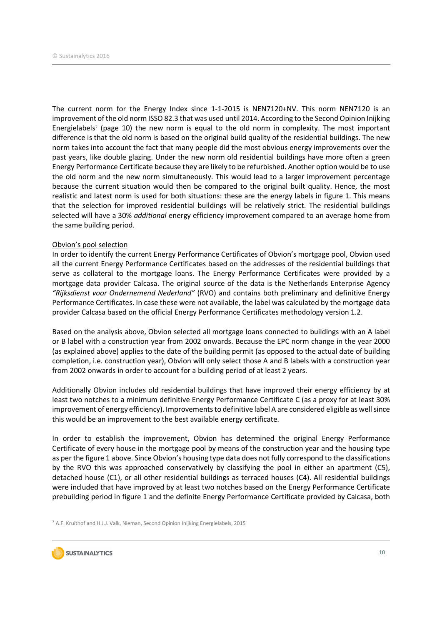The current norm for the Energy Index since 1-1-2015 is NEN7120+NV. This norm NEN7120 is an improvement of the old norm ISSO 82.3 that was used until 2014. According to the Second Opinion Inijking Energielabels<sup>7</sup> (page 10) the new norm is equal to the old norm in complexity. The most important difference is that the old norm is based on the original build quality of the residential buildings. The new norm takes into account the fact that many people did the most obvious energy improvements over the past years, like double glazing. Under the new norm old residential buildings have more often a green Energy Performance Certificate because they are likely to be refurbished. Another option would be to use the old norm and the new norm simultaneously. This would lead to a larger improvement percentage because the current situation would then be compared to the original built quality. Hence, the most realistic and latest norm is used for both situations: these are the energy labels in figure 1. This means that the selection for improved residential buildings will be relatively strict. The residential buildings selected will have a 30% *additional* energy efficiency improvement compared to an average home from the same building period.

### Obvion's pool selection

In order to identify the current Energy Performance Certificates of Obvion's mortgage pool, Obvion used all the current Energy Performance Certificates based on the addresses of the residential buildings that serve as collateral to the mortgage loans. The Energy Performance Certificates were provided by a mortgage data provider Calcasa. The original source of the data is the Netherlands Enterprise Agency "Rijksdienst voor Ondernemend Nederland" (RVO) and contains both preliminary and definitive Energy Performance Certificates. In case these were not available, the label was calculated by the mortgage data provider Calcasa based on the official Energy Performance Certificates methodology version 1.2.

Based on the analysis above, Obvion selected all mortgage loans connected to buildings with an A label or B label with a construction year from 2002 onwards. Because the EPC norm change in the year 2000 (as explained above) applies to the date of the building permit (as opposed to the actual date of building completion, i.e. construction year), Obvion will only select those A and B labels with a construction year from 2002 onwards in order to account for a building period of at least 2 years.

Additionally Obvion includes old residential buildings that have improved their energy efficiency by at least two notches to a minimum definitive Energy Performance Certificate C (as a proxy for at least 30% improvement of energy efficiency). Improvements to definitive label A are considered eligible as well since this would be an improvement to the best available energy certificate.

In order to establish the improvement, Obvion has determined the original Energy Performance Certificate of every house in the mortgage pool by means of the construction year and the housing type as per the figure 1 above. Since Obvion's housing type data does not fully correspond to the classifications by the RVO this was approached conservatively by classifying the pool in either an apartment (C5), detached house (C1), or all other residential buildings as terraced houses (C4). All residential buildings were included that have improved by at least two notches based on the Energy Performance Certificate prebuilding period in figure 1 and the definite Energy Performance Certificate provided by Calcasa, both

<sup>7</sup> A.F. Kruithof and H.J.J. Valk, Nieman, Second Opinion Inijking Energielabels, 2015

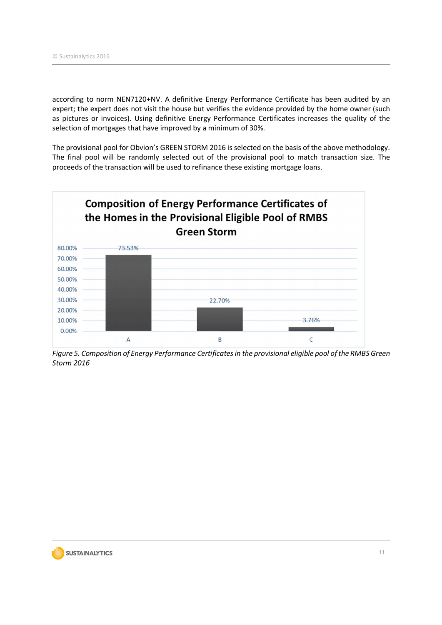according to norm NEN7120+NV. A definitive Energy Performance Certificate has been audited by an expert; the expert does not visit the house but verifies the evidence provided by the home owner (such as pictures or invoices). Using definitive Energy Performance Certificates increases the quality of the selection of mortgages that have improved by a minimum of 30%.

The provisional pool for Obvion's GREEN STORM 2016 is selected on the basis of the above methodology. The final pool will be randomly selected out of the provisional pool to match transaction size. The proceeds of the transaction will be used to refinance these existing mortgage loans.



Figure 5. Composition of Energy Performance Certificates in the provisional eligible pool of the RMBS Green Storm 2016